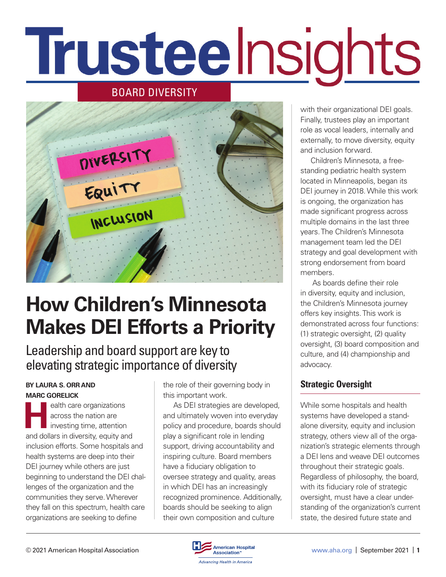# Trusteelnsights

## BOARD DIVERSITY



## **How Children's Minnesota Makes DEI Efforts a Priority**

Leadership and board support are key to elevating strategic importance of diversity

#### **BY LAURA S. ORR AND MARC GORELICK**

**Health care organizations**<br>
across the nation are<br>
investing time, attention across the nation are investing time, attention and dollars in diversity, equity and inclusion efforts. Some hospitals and health systems are deep into their DEI journey while others are just beginning to understand the DEI challenges of the organization and the communities they serve. Wherever they fall on this spectrum, health care organizations are seeking to define

the role of their governing body in this important work.

As DEI strategies are developed, and ultimately woven into everyday policy and procedure, boards should play a significant role in lending support, driving accountability and inspiring culture. Board members have a fiduciary obligation to oversee strategy and quality, areas in which DEI has an increasingly recognized prominence. Additionally, boards should be seeking to align their own composition and culture

with their organizational DEI goals. Finally, trustees play an important role as vocal leaders, internally and externally, to move diversity, equity and inclusion forward.

Children's Minnesota, a freestanding pediatric health system located in Minneapolis, began its DEI journey in 2018. While this work is ongoing, the organization has made significant progress across multiple domains in the last three years. The Children's Minnesota management team led the DEI strategy and goal development with strong endorsement from board members.

 As boards define their role in diversity, equity and inclusion, the Children's Minnesota journey offers key insights. This work is demonstrated across four functions: (1) strategic oversight, (2) quality oversight, (3) board composition and culture, and (4) championship and advocacy.

## **Strategic Oversight**

While some hospitals and health systems have developed a standalone diversity, equity and inclusion strategy, others view all of the organization's strategic elements through a DEI lens and weave DEI outcomes throughout their strategic goals. Regardless of philosophy, the board, with its fiduciary role of strategic oversight, must have a clear understanding of the organization's current state, the desired future state and

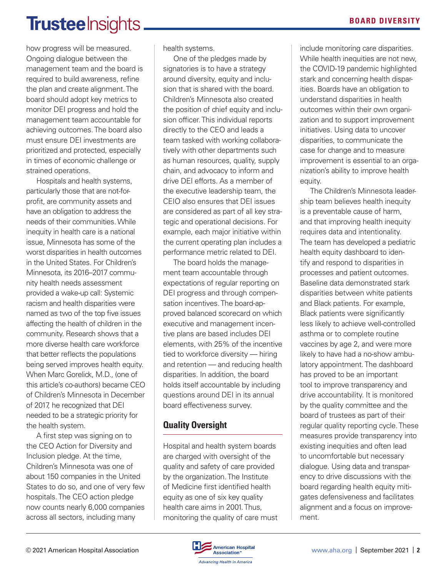## **Trustee** Insights.

how progress will be measured. Ongoing dialogue between the management team and the board is required to build awareness, refine the plan and create alignment. The board should adopt key metrics to monitor DEI progress and hold the management team accountable for achieving outcomes. The board also must ensure DEI investments are prioritized and protected, especially in times of economic challenge or strained operations.

Hospitals and health systems, particularly those that are not-forprofit, are community assets and have an obligation to address the needs of their communities. While inequity in health care is a national issue, Minnesota has some of the worst disparities in health outcomes in the United States. For Children's Minnesota, its 2016–2017 community health needs assessment provided a wake-up call: Systemic racism and health disparities were named as two of the top five issues affecting the health of children in the community. Research shows that a more diverse health care workforce that better reflects the populations being served improves health equity. When Marc Gorelick, M.D., (one of this article's co-authors) became CEO of Children's Minnesota in December of 2017, he recognized that DEI needed to be a strategic priority for the health system.

A first step was signing on to the CEO Action for Diversity and Inclusion pledge. At the time, Children's Minnesota was one of about 150 companies in the United States to do so, and one of very few hospitals. The CEO action pledge now counts nearly 6,000 companies across all sectors, including many

health systems.

One of the pledges made by signatories is to have a strategy around diversity, equity and inclusion that is shared with the board. Children's Minnesota also created the position of chief equity and inclusion officer. This individual reports directly to the CEO and leads a team tasked with working collaboratively with other departments such as human resources, quality, supply chain, and advocacy to inform and drive DEI efforts. As a member of the executive leadership team, the CEIO also ensures that DEI issues are considered as part of all key strategic and operational decisions. For example, each major initiative within the current operating plan includes a performance metric related to DEI.

The board holds the management team accountable through expectations of regular reporting on DEI progress and through compensation incentives. The board-approved balanced scorecard on which executive and management incentive plans are based includes DEI elements, with 25% of the incentive tied to workforce diversity — hiring and retention — and reducing health disparities. In addition, the board holds itself accountable by including questions around DEI in its annual board effectiveness survey.

## **Quality Oversight**

Hospital and health system boards are charged with oversight of the quality and safety of care provided by the organization. The Institute of Medicine first identified health equity as one of six key quality health care aims in 2001. Thus, monitoring the quality of care must include monitoring care disparities. While health inequities are not new, the COVID-19 pandemic highlighted stark and concerning health disparities. Boards have an obligation to understand disparities in health outcomes within their own organization and to support improvement initiatives. Using data to uncover disparities, to communicate the case for change and to measure improvement is essential to an organization's ability to improve health equity.

The Children's Minnesota leadership team believes health inequity is a preventable cause of harm, and that improving health inequity requires data and intentionality. The team has developed a pediatric health equity dashboard to identify and respond to disparities in processes and patient outcomes. Baseline data demonstrated stark disparities between white patients and Black patients. For example, Black patients were significantly less likely to achieve well-controlled asthma or to complete routine vaccines by age 2, and were more likely to have had a no-show ambulatory appointment. The dashboard has proved to be an important tool to improve transparency and drive accountability. It is monitored by the quality committee and the board of trustees as part of their regular quality reporting cycle. These measures provide transparency into existing inequities and often lead to uncomfortable but necessary dialogue. Using data and transparency to drive discussions with the board regarding health equity mitigates defensiveness and facilitates alignment and a focus on improvement.